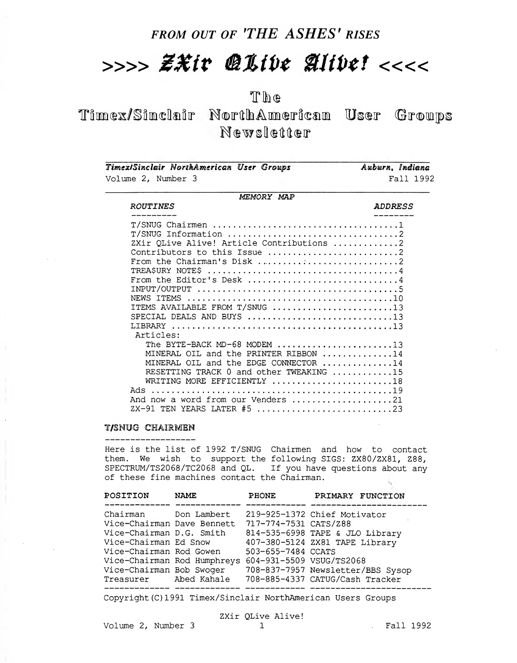## FROM OUT OF 'THE ASHES' RISES

# $>>>>E X$ ir @Live Alive! <<<<

## The

Timex/Sinclair NorthAmerican User Groups Newsletter

| Timex/Sinclair NorthAmerican User Groups  | Auburn, Indiana |
|-------------------------------------------|-----------------|
| Volume 2, Number 3                        | Fall 1992       |
| MEMORY MAP                                |                 |
| <b>ROUTINES</b>                           | <b>ADDRESS</b>  |
|                                           |                 |
|                                           |                 |
| ZXir QLive Alive! Article Contributions 2 |                 |
| Contributors to this Issue 2              |                 |
|                                           |                 |
|                                           |                 |
| From the Editor's Desk 4                  |                 |
|                                           |                 |
|                                           |                 |
| ITEMS AVAILABLE FROM T/SNUG 13            |                 |
| SPECIAL DEALS AND BUYS 13                 |                 |
| <b>LIBRARY</b>                            |                 |
| Articles:                                 |                 |
| The BYTE-BACK MD-68 MODEM 13              |                 |
| MINERAL OIL and the PRINTER RIBBON 14     |                 |
| MINERAL OIL and the EDGE CONNECTOR 14     |                 |
| RESETTING TRACK 0 and other TWEAKING 15   |                 |
| WRITING MORE EFFICIENTLY 18               |                 |
|                                           |                 |
| And now a word from our Venders 21        |                 |
| ZX-91 TEN YEARS LATER #5 23               |                 |

#### T/SNUG CHAIRMEN

Here is the list of 1992 T/SNUG Chairmen and how to contact them. We wish to support the following SIGS: ZX80/ZX81, Z88, SPECTRUM/TS2068/TC2068 and QL. If you have questions about any of these fine machines contact the Chairman. s

| POSITION                   | <b>NAME</b>                                          | <b>PHONE</b>          | PRIMARY FUNCTION                                                                                                                                                                                                                                                                                                |
|----------------------------|------------------------------------------------------|-----------------------|-----------------------------------------------------------------------------------------------------------------------------------------------------------------------------------------------------------------------------------------------------------------------------------------------------------------|
| Chairman Don Lambert       |                                                      |                       | 219-925-1372 Chief Motivator                                                                                                                                                                                                                                                                                    |
| Vice-Chairman Dave Bennett |                                                      | 717-774-7531 CATS/Z88 |                                                                                                                                                                                                                                                                                                                 |
| Vice-Chairman D.G. Smith   |                                                      |                       | 814-535-6998 TAPE & JLO Library                                                                                                                                                                                                                                                                                 |
| Vice-Chairman Ed Snow      |                                                      |                       | 407-380-5124 ZX81 TAPE Library                                                                                                                                                                                                                                                                                  |
| Vice-Chairman Rod Gowen    |                                                      | 503-655-7484 CCATS    |                                                                                                                                                                                                                                                                                                                 |
|                            | Vice-Chairman Rod Humphreys 604-931-5509 VSUG/TS2068 |                       |                                                                                                                                                                                                                                                                                                                 |
| Vice-Chairman Bob Swoqer   |                                                      |                       | 708-837-7957 Newsletter/BBS Sysop                                                                                                                                                                                                                                                                               |
| Treasurer Abed Kahale      |                                                      |                       | 708-885-4337 CATUG/Cash Tracker                                                                                                                                                                                                                                                                                 |
|                            |                                                      |                       | $\alpha$ and the contract of $\alpha$ and $\alpha$ and $\alpha$ is the contract of $\alpha$ and $\alpha$ and $\alpha$ and $\alpha$ and $\alpha$ and $\alpha$ and $\alpha$ and $\alpha$ and $\alpha$ and $\alpha$ and $\alpha$ and $\alpha$ and $\alpha$ and $\alpha$ and $\alpha$ and $\alpha$ and $\alpha$ and |

Copyright (C) 1991 Timex/Sinclair NorthAmerican Users Groups

ZXir QLive Alive!

Volume 2, Number 3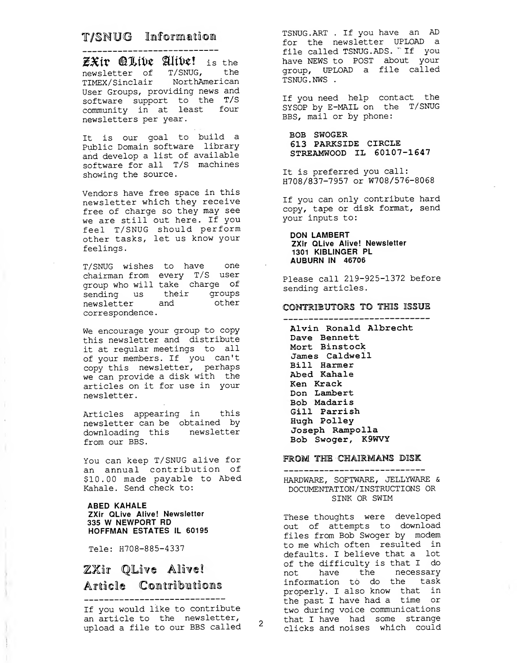### T/SNUG Information

---------------------------<br>ZXiv @Live Alive! is the newsletter of T/SNUG, the TIMEX/Sinclair NorthAmerican User Groups, providing news and software support to the T/S community in at least four newsletters per year.

It is our goal to build a Public Domain software library and develop a list of available software for all T/S machines showing the source.

Vendors have free space in this newsletter which they receive free of charge so they may see we are still out here. If you feel T/SNUG should perform other tasks, let us know your feelings

T/SNUG wishes to have one chairman from every T/S user group who will take charge of sending us their groups newsletter and other correspondence

We encourage your group to copy this newsletter and distribute it at regular meetings to all of your members. If you can't copy this newsletter, perhaps we can provide a disk with the articles on it for use in your newsletter

Articles appearing in this newsletter can be obtained by downloading this newsletter from our BBS.

You can keep T/SNUG alive for an annual contribution of \$10.00 made payable to Abed Kahale. Send check to:

#### ABED KAHALE ZXir QLive Alive! Newsletter <sup>335</sup> W NEWPORT RD HOFFMAN ESTATES IL 60195

Tele: H708-885-4337

 $\tau$ 

T.

## ZXir QLive Alive! Article Contributions

If you would like to contribute an article to the newsletter, upload a file to our BBS called

TSNUG . ART . If you have an AD for the newsletter UPLOAD a file called TSNUG. ADS. "If you have NEWS to POST about your group, UPLOAD a file called TSNUG . NWS .

If you need help contact the SYSOP by E-MAIL on the T/SNUG BBS, mail or by phone:

BOB SWOGER 613 PARKSIDE CIRCLE STREAMWOOD IL 60107-1647

It is preferred you call: H708/837-7957 or W708/576-8068

If you can only contribute hard copy, tape or disk format, send your inputs to:

DON LAMBERT ZXir QLive Alive! Newsletter 1301 KIBLINGER PL AUBURN IN 46706

Please call 219-925-1372 before sending articles.

#### CONTRIBUTORS TO THIS ISSUE -----------------------------

Alvin Ronald Albrecht Dave Bennett Mort Binstock James Caldwell Bill Harmer Abed Kahale Ken Krack Don Lambert Bob Madaris Gill Parrish Hugh Polley Joseph Rampolla Bob Swoger, K9WVY

#### FROM THE CHAIRMANS DISK

#### ----------------------------HARDWARE, SOFTWARE, JELLYWARE & DOCUMENTATION/ INSTRUCTIONS OR SINK OR SWIM

These thoughts were developed out of attempts to download files from Bob Swoger by modem to me which often resulted in defaults. I believe that a lot of the difficulty is that <sup>I</sup> do not have the necessary information to do the task properly. <sup>I</sup> also know that in the past <sup>I</sup> have had a time or two during voice communications that <sup>I</sup> have had some strange clicks and noises which could

 $\mathbf{2}$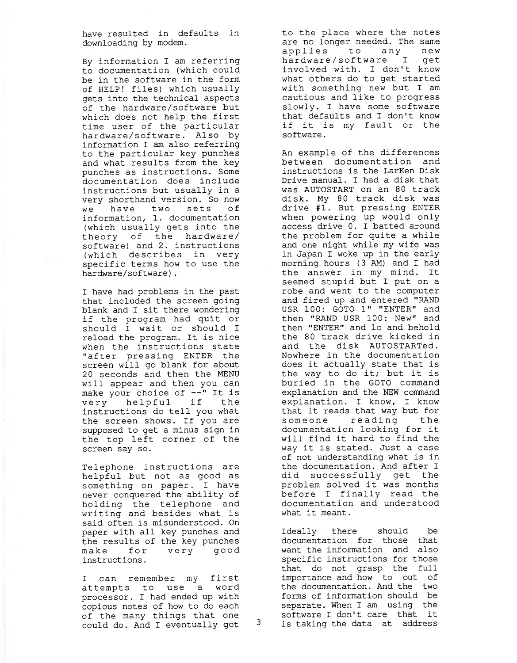have resulted in defaults in downloading by modem.

By information <sup>I</sup> am referring to documentation (which could be in the software in the form of HELP! files) which usually gets into the technical aspects of the hardware /software but which does not help the first time user of the particular hardware/software. Also by information <sup>I</sup> am also referring to the particular key punches and what results from the key punches as instructions. Some documentation does include instructions but usually in a very shorthand version. So now we have two sets of information, 1. documentation (which usually gets into the theory of the hardware/ software) and 2. instructions (which describes in very specific terms how to use the hardware/software).

<sup>I</sup> have had problems in the past that included the screen going blank and <sup>I</sup> sit there wondering if the program had quit or should <sup>I</sup> wait or should <sup>I</sup> reload the program. It is nice when the instructions state "after pressing ENTER the screen will go blank for about 20 seconds and then the MENU will appear and then you can make your choice of  $--$ " It is very helpful if the instructions do tell you what the screen shows. If you are supposed to get a minus sign in the top left corner of the screen say so.

Telephone instructions are helpful but not as good as something on paper. <sup>I</sup> have never conquered the ability of holding the telephone and writing and besides what is said often is misunderstood. On paper with all key punches and the results of the key punches make for very good instructions

<sup>I</sup> can remember my first attempts to use <sup>a</sup> word processor. <sup>I</sup> had ended up with copious notes of how to do each of the many things that one<br>could do and I eventually got  $3$ could do. And <sup>I</sup> eventually got

to the place where the notes are no longer needed. The same applies to any new hardware/software I get involved with. <sup>I</sup> don't know what others do to get started with something new but <sup>I</sup> am cautious and like to progress slowly. <sup>I</sup> have some software that defaults and <sup>I</sup> don't know if it is my fault or the software

An example of the differences between documentation and instructions is the LarKen Disk Drive manual. I had a disk that was AUTOSTART on an 80 track disk. My 80 track disk was drive #1. But pressing ENTER when powering up would only access drive 0. I batted around the problem for quite a while and one night while my wife was in Japan I woke up in the early morning hours (3 AM) and I had the answer in my mind. It seemed stupid but <sup>I</sup> put on a robe and went to the computer and fired up and entered "RAND USR 100: GOTO 1" "ENTER" and then "RAND USR 100: New" and then "ENTER" and lo and behold the 80 track drive kicked in and the disk AUTOSTARTed. Nowhere in the documentation does it actually state that is the way to do it; but it is buried in the GOTO command explanation and the NEW command explanation. <sup>I</sup> know, <sup>I</sup> know that it reads that way but for someone reading the documentation looking for it will find it hard to find the way it is stated. Just a case of not understanding what is in the documentation. And after <sup>I</sup> did successfully get the problem solved it was months before <sup>I</sup> finally read the documentation and understood what it meant.

Ideally there should be documentation for those that want the information and also specific instructions for those that do not grasp the full importance and how to out of the documentation. And the two forms of information should be separate. When I am using the software I don't care that it is taking the data at address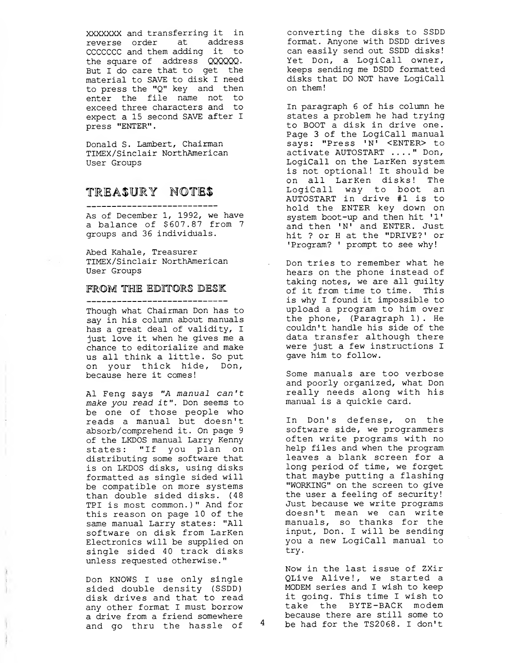XXXXXXX and transferring it in reverse order at address CCCCCCC and them adding it to the square of address QQQQQQ. But <sup>I</sup> do care that to get the material to SAVE to disk <sup>I</sup> need to press the "Q" key and then enter the file name not to exceed three characters and to expect a 15 second SAVE after <sup>I</sup> press "ENTER".

Donald S. Lambert, Chairman TIMEX/Sinclair NorthAmerican User Groups

### TREASURY NOTES

As of December 1, 1992, we have a balance of \$607.87 from <sup>7</sup> groups and 36 individuals.

Abed Kahale, Treasurer TIMEX/Sinclair NorthAmerican User Groups

#### FROM THE EDITORS DESK

-----------------------------

Though what Chairman Don has to say in his column about manuals has a great deal of validity, I just love it when he gives me a chance to editorialize and make us all think a little. So put on your thick hide, Don, because here it comes!

Al Feng says "A manual can't make you read it". Don seems to be one of those people who reads a manual but doesn't absorb/comprehend it. On page <sup>9</sup> of the LKDOS manual Larry Kenny states: "If you plan on distributing some software that is on LKDOS disks, using disks formatted as single sided will be compatible on more systems than double sided disks. (48 TPI is most common.)" And for this reason on page 10 of the same manual Larry states: "All software on disk from LarKen Electronics will be supplied on single sided 40 track disks unless requested otherwise."

Don KNOWS <sup>I</sup> use only single sided double density (SSDD) disk drives and that to read any other format <sup>I</sup> must borrow a drive from a friend somewhere and go thru the hassle of

converting the disks to SSDD format. Anyone with DSDD drives can easily send out SSDD disks! Yet Don, a LogiCall owner, keeps sending me DSDD formatted disks that DO NOT have LogiCall on them!

In paragraph 6 of his column he states a problem he had trying to BOOT a disk in drive one. Page <sup>3</sup> of the LogiCall manual says: "Press 'N' <ENTER> to activate AUTOSTART ...." Don, LogiCall on the LarKen system is not optional! It should be on all LarKen disks! The LogiCall way to boot an AUTOSTART in drive #1 is to hold the ENTER key down on system boot-up and then hit '1' and then 'N' and ENTER. Just hit ? or H at the "DRIVE?' or 'Program? ' prompt to see why!

Don tries to remember what he hears on the phone instead of taking notes, we are all guilty of it from time to time. This is why I found it impossible to upload a program to him over the phone, (Paragraph 1) . He couldn't handle his side of the data transfer although there were just a few instructions I gave him to follow.

Some manuals are too verbose and poorly organized, what Don really needs along with his manual is a quickie card.

In Don's defense, on the software side, we programmers often write programs with no help files and when the program leaves a blank screen for a long period of time, we forget that maybe putting a flashing "WORKING" on the screen to give the user a feeling of security! Just, because we write programs doesn't mean we can write manuals, so thanks for the input, Don. <sup>I</sup> will be sending you a new LogiCall manual to try.

Now in the last issue of ZXir QLive Alive!, we started a MODEM series and I wish to keep it going. This time I wish to take the BYTE-BACK modem because there are still some to be had for the TS2068. I don't

4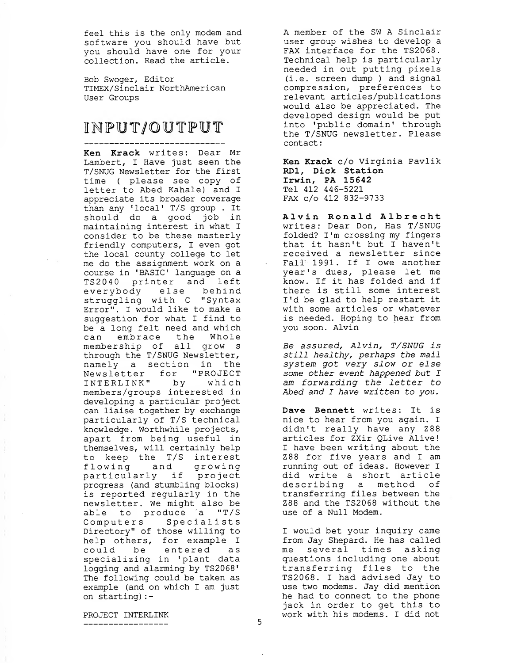feel this is the only modem and software you should have but you should have one for your collection. Read the article.

Bob Swoger, Editor TIMEX/Sinclair NorthAmerican User Groups

## INPUT/OUTPUT

Ken Krack writes: Dear Mr Lambert, I Have just seen the T/SNUG Newsletter for the first time ( please see copy of letter to Abed Kahale) and <sup>I</sup> appreciate its broader coverage than any 'local' T/S group . It should do a good job in maintaining interest in what <sup>I</sup> consider to be these masterly friendly computers, <sup>I</sup> even got the local county college to let me do the assignment work on a course in 'BASIC' language on a TS2040 printer and left everybody else behind struggling with C "Syntax Error". <sup>I</sup> would like to make a suggestion for what <sup>I</sup> find to be a long felt need and which can embrace the Whole membership of all grow <sup>s</sup> through the T/SNUG Newsletter, namely a section in the Newsletter for "PROJECT INTERLINK" by which members/groups interested in developing a particular project can liaise together by exchange particularly of T/S technical knowledge. Worthwhile projects, apart from being useful in themselves, will certainly help to keep the T/S interest flowing and growing particularly if project progress (and stumbling blocks) is reported regularly in the newsletter. We might also be able to produce a "T/S Computers Specialists Directory" of those willing to help others, for example <sup>I</sup> could be entered as specializing in 'plant data logging and alarming by TS2068' The following could be taken as example (and on which I am just on starting) :

A member of the SW A Sinclair user group wishes to develop a FAX interface for the TS2068. Technical help is particularly needed in out putting pixels (i.e. screen dump ) and signal compression, preferences to relevant articles/publications would also be appreciated. The developed design would be put into 'public domain' through the T/SNUG newsletter. Please contact:

Ken Krack c/o Virginia Pavlik RD1, Dick Station Irwin, PA 15642 Tel 412 446-5221 FAX c/o 412 832-9733

Alvin Ronald Albrecht writes: Dear Don, Has T/SNUG folded? I'm crossing my fingers that it hasn't but <sup>I</sup> haven't received a newsletter since Fall 1991. If I owe another year's dues, please let me know. If it has folded and if there is still some interest I'd be glad to help restart it with some articles or whatever is needed. Hoping to hear from you soon. Alvin

Be assured, Alvin, T/SNUG is still healthy, perhaps the mail system got very slow or else some other event happened but I am forwarding the letter to Abed and I have written to you.

Dave Bennett writes: It is nice to hear from you again. I didn't really have any Z88 articles for ZXir QLive Alive! <sup>I</sup> have been writing about the Z88 for five years and <sup>I</sup> am running out of ideas. However I did write a short article describing a method of transferring files between the Z88 and the TS2068 without the use of a Null Modem.

I would bet your inquiry came from Jay Shepard. He has called me several times asking questions including one about transferring files to the TS2068. <sup>I</sup> had advised Jay to use two modems. Jay did mention he had to connect to the phone jack in order to get this to work with his modems. I did not

PROJECT INTERLINK \_\_\_\_\_\_\_\_\_\_\_\_\_\_\_\_\_

 $\frac{1}{4}$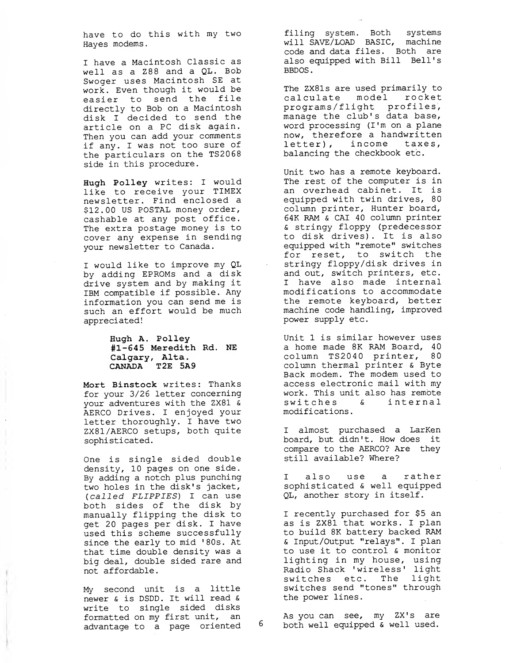have to do this with my two Hayes modems.

<sup>I</sup> have a Macintosh Classic as well as a Z88 and a QL. Bob Swoger uses Macintosh SE at work. Even though it would be easier to send the file directly to Bob on a Macintosh disk <sup>I</sup> decided to send the article on a PC disk again. Then you can add your comments if any. <sup>I</sup> was not too sure of the particulars on the TS2068 side in this procedure.

Hugh Polley writes: <sup>I</sup> would like to receive your TIMEX newsletter. Find enclosed a \$12.00 US POSTAL money order, cashable at any post office. The extra postage money is to cover any expense in sending your newsletter to Canada.

<sup>I</sup> would like to improve my QL by adding EPROMs and a disk drive system and by making it IBM compatible if possible. Any information you can send me is such an effort would be much appreciated!

> Hugh A. Polley #1-645 Meredith Rd. NE Calgary, Alta. CANADA T2E 5A9

Mort Binstock writes: Thanks for your 3/26 letter concerning your adventures with the ZX81 & AERCO Drives. <sup>I</sup> enjoyed your letter thoroughly. <sup>I</sup> have two ZX81 /AERCO setups, both quite sophisticated.

One is single sided double density, 10 pages on one side. By adding a notch plus punching two holes in the disk's jacket, (called FLIPPIES) <sup>I</sup> can use both sides of the disk by manually flipping the disk to get 20 pages per disk. <sup>I</sup> have used this scheme successfully since the early to mid '80s. At that time double density was a big deal, double sided rare and not affordable.

My second unit is a little newer & is DSDD. It will read & write to single sided disks formatted on my first unit, an advantage to a page oriented

filing system. Both systems will SAVE/LOAD BASIC, machine code and data files. Both are also equipped with Bill Bell's BBDOS

The ZX81s are used primarily to calculate model rocket programs/flight profiles, manage the club's data base, word processing (I'm on a plane now, therefore a handwritten letter), income taxes, balancing the checkbook etc.

Unit two has a remote keyboard. The rest of the computer is in an overhead cabinet. It is equipped with twin drives, 80 column printer, Hunter board, 64K RAM & CAI 40 column printer & stringy floppy (predecessor to disk drives) . It is also equipped with "remote" switches for reset, to switch the stringy floppy/disk drives in and out, switch printers, etc. <sup>I</sup> have also made internal modifications to accommodate the remote keyboard, better machine code handling, improved power supply etc.

Unit 1 is similar however uses a home made 8K RAM Board, 40 column TS2040 printer, 80 column thermal printer & Byte Back modem. The modem used to access electronic mail with my work. This unit also has remote switches & internal modifications

<sup>I</sup> almost purchased a LarKen board, but didn't. How does it compare to the AERCO? Are they still available? Where?

<sup>I</sup> also use a rather sophisticated & well equipped QL, another story in itself.

<sup>I</sup> recently purchased for \$5 an as is ZX81 that works. <sup>I</sup> plan to build 8K battery backed RAM & Input/Output "relays". <sup>I</sup> plan to use it to control & monitor lighting in my house, using Radio Shack 'wireless' light switches etc. The light switches send "tones" through the power lines

As you can see, my ZX's are <sup>6</sup> both well equipped & well used.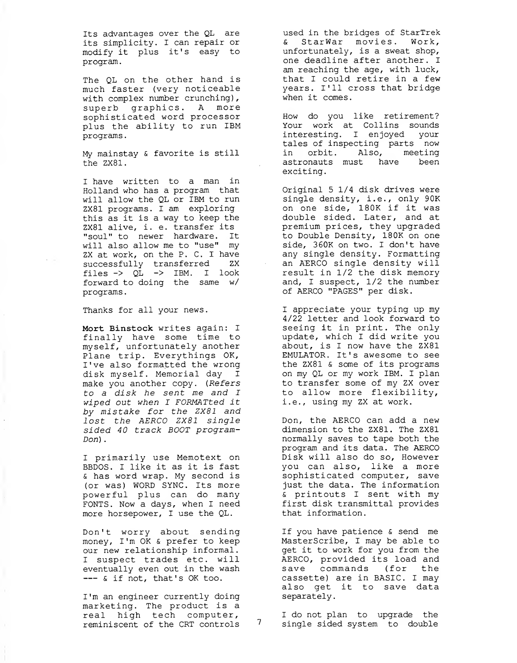Its advantages over the QL are its simplicity. <sup>I</sup> can repair or modify it plus it's easy to program

The QL on the other hand is much faster (very noticeable with complex number crunching), superb graphics. A more sophisticated word processor plus the ability to run IBM programs

My mainstay & favorite is still the ZX81.

I have written to a man in Holland who has a program that will allow the QL or IBM to run ZX81 programs. I am exploring this as it is a way to keep the ZX81 alive, i. e. transfer its "soul" to newer hardware. It will also allow me to "use" my ZX at work, on the P. C. <sup>I</sup> have successfully transferred ZX files  $\rightarrow$  QL  $\rightarrow$  IBM. I look forward to doing the same w/ programs

Thanks for all your news.

Mort Binstock writes again: <sup>I</sup> finally have some time to myself, unfortunately another Plane trip. Everythings OK, I've also formatted the wrong disk myself. Memorial day <sup>I</sup> make you another copy. (Refers to a disk he sent me and I wiped out when I FORMATted it by mistake for the ZX81 and lost the AERCO ZX81 single sided 40 track BOOT program-Don) .

<sup>I</sup> primarily use Memotext on BBDOS. <sup>I</sup> like it as it is fast & has word wrap. My second is (or was) WORD SYNC. Its more powerful plus can do many FONTS. Now a days, when I need more horsepower, I use the QL.

Don't worry about sending money, I'm OK & prefer to keep our new relationship informal <sup>I</sup> suspect trades etc. will eventually even out in the wash  $---$  & if not, that's OK too.

I'm an engineer currently doing marketing. The product is a real high tech computer, reminiscent of the CRT controls used in the bridges of StarTrek & StarWar movies. Work, unfortunately, is a sweat shop, one deadline after another. I am reaching the age, with luck, that I could retire in a few years. I'll cross that bridge when it comes.

How do you like retirement? Your work at Collins sounds interesting. I enjoyed your tales of inspecting parts now in orbit. Also, meeting astronauts must have been exciting.

Original 5 1/4 disk drives were single density, i.e., only 90K on one side, 180K if it was double sided. Later, and at premium prices, they upgraded to Double Density, 180K on one side, 360K on two. I don't have any single density. Formatting an AERCO single density will result in 1/2 the disk memory and, I suspect, 1/2 the number of AERCO "PAGES" per disk.

I appreciate your typing up my 4/22 letter and look forward to seeing it in print. The only update, which <sup>I</sup> did write you about, is <sup>I</sup> now have the ZX81 EMULATOR. It's awesome to see the ZX81 & some of its programs on my QL or my work IBM. I plan to transfer some of my ZX over to allow more flexibility, i.e., using my ZX at work.

Don, the AERCO can add a new dimension to the ZX81. The ZX81 normally saves to tape both the program and its data. The AERCO Disk will also do so, However you can also, like a more sophisticated computer, save just the data. The information & printouts <sup>I</sup> sent with my first disk transmittal provides that information.

If you have patience & send me MasterScribe, I may be able to get it to work for you from the AERCO, provided its load and save commands (for the cassette) are in BASIC. I may also get it to save data separately.

I do not plan to upgrade the single sided system to double

 $7<sup>7</sup>$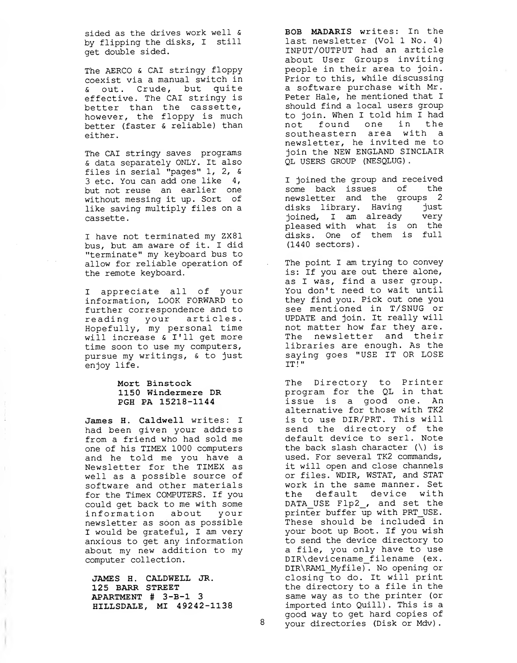sided as the drives work well & by flipping the disks, <sup>I</sup> still get double sided.

The AERCO & CAI stringy floppy coexist via a manual switch in & out. Crude, but quite effective. The CAI stringy is better than the cassette, however, the floppy is much better (faster & reliable) than either.

The CAI stringy saves programs & data separately ONLY. It also files in serial "pages" 1, 2, & 3 etc. You can add one like 4, but not reuse an earlier one without messing it up. Sort of like saving multiply files on a cassette

<sup>I</sup> have not terminated my ZX81 bus, but am aware of it. <sup>I</sup> did "terminate" my keyboard bus to allow for reliable operation of the remote keyboard.

<sup>I</sup> appreciate all of your information, LOOK FORWARD to further correspondence and to reading your articles. Hopefully, my personal time will increase & I'll get more time soon to use my computers, pursue my writings, & to just enjoy life.

#### Mort Binstock 1150 Windermere DR PGH PA 15218-1144

James H. Caldwell writes: <sup>I</sup> had been given your address from a friend who had sold me one of his TIMEX 1000 computers and he told me you have a Newsletter for the TIMEX as well as a possible source of software and other materials for the Timex COMPUTERS. If you could get back to me with some information about your newsletter as soon as possible <sup>I</sup> would be grateful, <sup>I</sup> am very anxious to get any information about my new addition to my computer collection.

JAMES H. CALDWELL JR. 125 BARR STREET APARTMENT # 3-B-l 3 HILLSDALE, MI 49242-1138 BOB MADARIS writes: In the last newsletter (Vol 1 No. 4) INPUT/OUTPUT had an article about User Groups inviting people in their area to join. Prior to this, while discussing a software purchase with Mr. Peter Hale, he mentioned that <sup>I</sup> should find a local users group to join. When <sup>I</sup> told him <sup>I</sup> had not found one in the southeastern area with a newsletter, he invited me to join the NEW ENGLAND SINCLAIR QL USERS GROUP (NESQLUG)

<sup>I</sup> joined the group and received some back issues of the newsletter and the groups 2 disks library. Having just joined, <sup>I</sup> am already very pleased with what is on the disks. One of them is full (1440 sectors)

The point I am trying to convey is: If you are out there alone, as <sup>I</sup> was, find a user group. You don't need to wait until they find you. Pick out one you see mentioned in T/SNUG or UPDATE and join. It really will not matter how far they are. The newsletter and their libraries are enough. As the saying goes "USE IT OR LOSE IT!"

The Directory to Printer program for the QL in that issue is a good one. An alternative for those with TK2 is to use DIR/PRT. This will send the directory of the default device to serl. Note the back slash character  $(\nabla)$  is used. For several TK2 commands, it will open and close channels or files. WDIR, WSTAT, and STAT work in the same manner. Set the default device with DATA USE Flp2, and set the printer buffer up with PRT\_USE. These should be included in your boot up Boot. If you wish to send the device directory to a file, you only have to use DIR\devicename filename (ex. DIR\RAMl\_Myfile) . No opening or closing to do. It will print the directory to a file in the same way as to the printer (or imported into Quill) . This is a good way to get hard copies of 8 your directories (Disk or Mdv).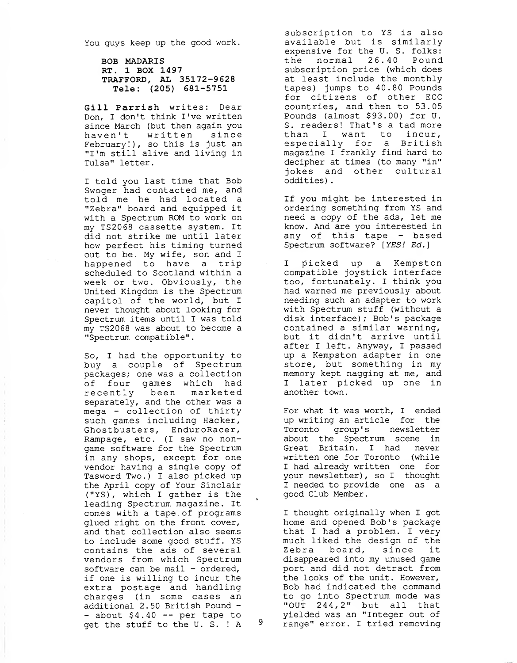You guys keep up the good work.

BOB MADARIS RT. 1 BOX 1497 TRAFFORD, AL 35172-9628 Tele: (205) 681-5751

Gill Parrish writes: Dear Don, I don't think I've written since March (but then again you haven't written since February!), so this is just an "I'm still alive and living in Tulsa" letter.

<sup>I</sup> told you last time that Bob Swoger had contacted me, and told me he had located a "Zebra" board and equipped it with a Spectrum ROM to work on my TS2068 cassette system. It did not strike me until later how perfect his timing turned out to be. My wife, son and <sup>I</sup> happened to have a trip scheduled to Scotland within a week or two. Obviously, the United Kingdom is the Spectrum capitol of the world, but <sup>I</sup> never thought about looking for Spectrum items until <sup>I</sup> was told my TS2068 was about to become a "Spectrum compatible".

So, <sup>I</sup> had the opportunity to buy a couple of Spectrum packages; one was a collection of four games which had recently been marketed separately, and the other was a mega - collection of thirty such games including Hacker, Ghostbusters, EnduroRacer, Rampage, etc. (I saw no nongame software for the Spectrum in any shops, except for one vendor having a single copy of Tasword Two.) <sup>I</sup> also picked up the April copy of Your Sinclair ("YS), which <sup>I</sup> gather is the leading Spectrum magazine. It comes with a tape of programs glued right on the front cover, and that collection also seems to include some good stuff. YS contains the ads of several vendors from which Spectrum software can be mail - ordered, if one is willing to incur the extra postage and handling charges (in some cases an additional 2.50 British Pound -- about \$4.40 -- per tape to get the stuff to the U.S. ! A 9

subscription to YS is also available but is similarly expensive for the U. S. folks: the normal 26.40 Pound subscription price (which does at least include the monthly tapes) jumps to 40.80 Pounds for citizens of other ECC countries, and then to 53.05 Pounds (almost \$93.00) for U. S. readers! That's a tad more than <sup>I</sup> want to incur, especially for a British magazine <sup>I</sup> frankly find hard to decipher at times (to many "in" jokes and other cultural oddities) .

If you might be interested in ordering something from YS and need a copy of the ads, let me know. And are you interested in any of this tape - based Spectrum software? [YES! Ed.]

<sup>I</sup> picked up a Kempston compatible joystick interface too, fortunately. <sup>I</sup> think you had warned me previously about needing such an adapter to work with Spectrum stuff (without a disk interface); Bob's package contained a similar warning, but it didn't arrive until after <sup>I</sup> left. Anyway, I passed up a Kempston adapter in one store, but something in my memory kept nagging at me, and <sup>I</sup> later picked up one in another town.

For what it was worth, I ended up writing an article for the Toronto group's newsletter about the Spectrum scene in Great Britain. I had never written one for Toronto (while I had already written one for your newsletter) , so I thought I needed to provide one as a good Club Member.

I thought originally when I got home and opened Bob's package that I had a problem. <sup>I</sup> very much liked the design of the Zebra board, since it disappeared into my unused game port and did not detract from the looks of the unit. However, Bob had indicated the command to go into Spectrum mode was "OUT 244 , 2" but all that yielded was an "Integer out of range" error. <sup>I</sup> tried removing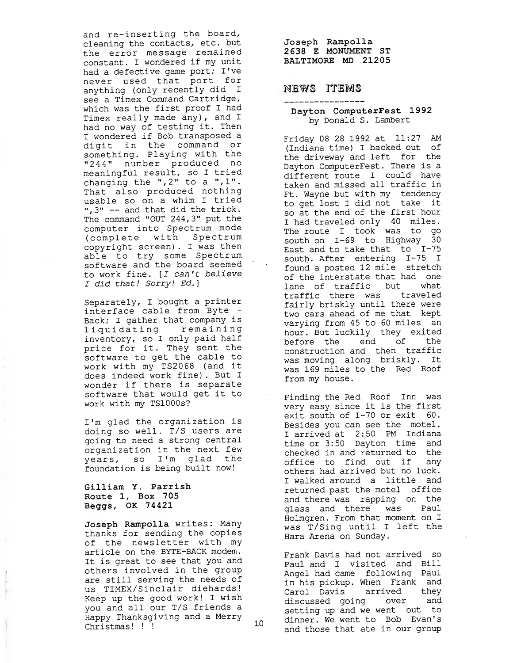and re-inserting the board, cleaning the contacts, etc. but the error message remained constant. <sup>I</sup> wondered if my unit had a defective game port; I've never used that port for anything (only recently did <sup>I</sup> see a Timex Command Cartridge, which was the first proof <sup>I</sup> had Timex really made any) , and <sup>I</sup> had no way of testing it. Then <sup>I</sup> wondered if Bob transposed a digit in the command or something. Playing with the "24 4" number produced no meaningful result, so <sup>I</sup> tried changing the ",2" to a ",1". That also produced nothing usable so on a whim <sup>I</sup> tried ",3" — and that did the trick. The command "OUT 244,3" put the computer into Spectrum mode (complete with Spectrum copyright screen) . <sup>I</sup> was then able to try some Spectrum software and the board seemed to work fine. [I can't believe I did that! Sorry! Ed.]

Separately, <sup>I</sup> bought a printer interface cable from Byte - Back; I gather that company is<br>liquidating remaining liquidating inventory, so <sup>I</sup> only paid half price for it. They sent the software to get the cable to work with my TS2068 (and it does indeed work fine) . But <sup>I</sup> wonder if there is separate software that would get it to work with my TSlOOOs?

I'm glad the organization is doing so well. T/S users are going to need a strong central organization in the next few years, so I'm glad the foundation is being built now!

#### Gilliam Y. Parrish Route 1, Box 705 Beggs, OK 74421

 $\ddot{\cdot}$ 

Joseph Rampolla writes: Many thanks for sending the copies of the newsletter with my article on the BYTE-BACK modem. It is great to see that you and others involved in the group are still serving the needs of us TIMEX/Sinclair diehards! Keep up the good work! <sup>I</sup> wish you and all our T/S friends a Happy Thanksgiving and a Merry<br>Christmas! !! Christmas! ! !

Joseph Rampolla 2 638 E MONUMENT ST BALTIMORE MD 21205

#### NEWS ITEMS

#### Dayton ComputerFest 1992 by Donald S. Lambert

Friday 08 28 1992 at 11:27 AM (Indiana time) I backed out of the driveway and left for the Dayton ComputerFest. There is a different route <sup>I</sup> could have taken and missed all traffic in Ft. Wayne but with my tendency to get lost <sup>I</sup> did not take it so at the end of the first hour <sup>I</sup> had traveled only 40 miles. The route <sup>I</sup> took was to go south on 1-69 to Highway 30 East and to take that to 1-75 south. After entering 1-75 <sup>I</sup> found a posted 12 mile stretch of the interstate that had one lane of traffic but what traffic there was traveled fairly briskly until there were two cars ahead of me that kept varying from 45 to 60 miles an hour. But luckily they exited before the end of the construction and then traffic was moving along briskly. It was 169 miles to the Red Roof from my house.

Finding the Red Roof Inn was very easy since it is the first exit south of 1-70 or exit 60. Besides you can see the motel. <sup>I</sup> arrived at 2:50 PM Indiana time or 3:50 Dayton time and checked in and returned to the office to find out if any others had arrived but no luck. <sup>I</sup> walked around a little and returned past the motel office and there was rapping on the glass and there was Paul Holmgren. From that moment on I was T/Sing until <sup>I</sup> left the Hara Arena on Sunday.

Frank Davis had not arrived so Paul and <sup>I</sup> visited and Bill Angel had came following Paul in his pickup. When Frank and Carol Davis arrived they discussed going over and setting up and we went out to dinner. We went to Bob Evan's and those that ate in our group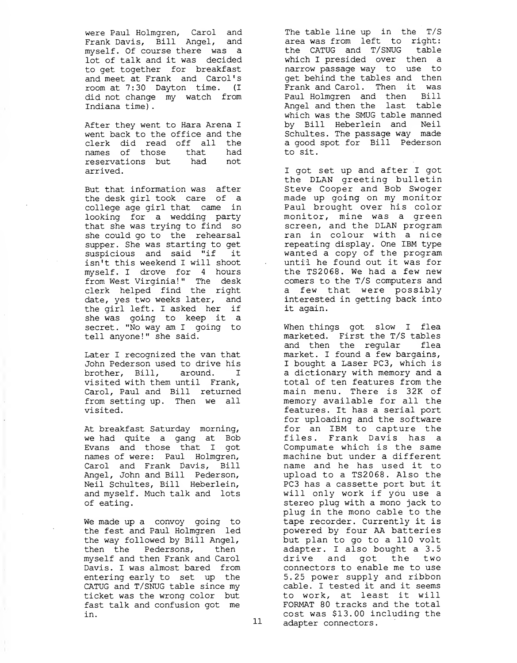were Paul Holmgren, Carol and Frank Davis, Bill Angel, and myself. Of course there was a lot of talk and it was decided to get together for breakfast and meet at Frank and Carol's room at 7:30 Dayton time. (I did not change my watch from Indiana time)

After they went to Hara Arena <sup>I</sup> went back to the office and the clerk did read off all the names of those that had reservations but had not arrived.

But that information was after the desk girl took care of a college age girl that came in looking for a wedding party that she was trying to find so she could go to the rehearsal supper. She was starting to get suspicious and said "if it isn't this weekend I will shoot myself. I drove for <sup>4</sup> hours from West Virginia!" The desk clerk helped find the right date, yes two weeks later, and the girl left. I asked her if she was going to keep it a secret. "No way am I going to tell anyone!" she said.

Later <sup>I</sup> recognized the van that John Pederson used to drive his brother, Bill, around. I visited with them until Frank, Carol, Paul and Bill returned from setting up. Then we all visited.

At breakfast Saturday morning, we had quite a gang at Bob Evans and those that I got names of were: Paul Holmgren, Carol and Frank Davis, Bill Angel, John and Bill Pederson, Neil Schultes, Bill Heberlein, and myself. Much talk and lots of eating.

We made up a convoy going to the fest and Paul Holmgren led the way followed by Bill Angel, then the Pedersons, then myself and then Frank and Carol Davis. I was almost bared from entering early to set up the CATUG and T/SNUG table since my ticket was the wrong color but fast talk and confusion got me in.

The table line up in the T/S area was from left to right: the CATUG and T/SNUG table which I presided over then a narrow passage way to use to get behind the tables and then Frank and Carol. Then it was Paul Holmgren and then Bill Angel and then the last table which was the SMUG table manned by Bill Heberlein and Neil Schultes. The passage way made a good spot for Bill Pederson to sit.

<sup>I</sup> got set up and after <sup>I</sup> got the DLAN greeting bulletin Steve Cooper and Bob Swoger made up going on my monitor Paul brought over his color monitor, mine was a green screen, and the DLAN program ran in colour with a nice repeating display. One IBM type wanted a copy of the program until he found out it was for the TS2068. We had a few new comers to the T/S computers and a few that were possibly interested in getting back into it again.

When things got slow I flea marketed. First the T/S tables and then the regular flea market. I found a few bargains, <sup>I</sup> bought a Laser PC3, which is a dictionary with memory and a total of ten features from the main menu. There is 32K of memory available for all the features. It has a serial port for uploading and the software for an IBM to capture the files. Frank Davis has a Compumate which is the same machine but under a different name and he has used it to upload to a TS2068. Also the PC3 has a cassette port but it will only work if you use a stereo plug with a mono jack to plug in the mono cable to the tape recorder. Currently it is powered by four AA batteries but plan to go to a 110 volt adapter. I also bought a 3.5 drive and got the two connectors to enable me to use 5.25 power supply and ribbon cable. <sup>I</sup> tested it and it seems to work, at least it will FORMAT 80 tracks and the total cost was \$13.00 including the adapter connectors.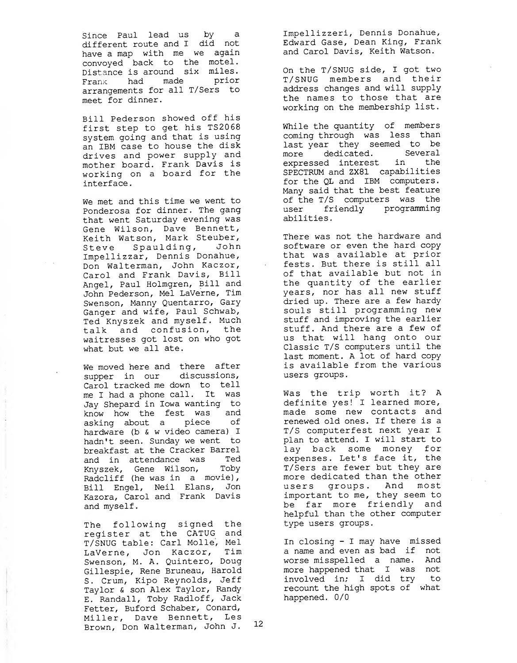Since Paul lead us by a different route and <sup>I</sup> did not have a map with me we again convoyed back to the motel Distance is around six miles. Frank had made prior arrangements for all T/Sers to meet for dinner.

Bill Pederson showed off his first step to get his TS2068 system going and that is using an IBM case to house the disk drives and power supply and mother board. Frank Davis is working on a board for the interface

We met and this time we went to Ponderosa for dinner. The gang that went Saturday evening was Gene Wilson, Dave Bennett, Keith Watson, Mark Steuber, Steve Spaulding, John Impellizzar, Dennis Donahue, Don Walterman, John Kaczor, Carol and Frank Davis, Bill Angel, Paul Holmgren, Bill and John Pederson, Mel LaVerne, Tim Swenson, Manny Quentarro, Gary Ganger and wife, Paul Schwab, Ted Knyszek and myself. Much talk and confusion, the waitresses got lost on who got what but we all ate.

We moved here and there after supper in our discussions, Carol tracked me down to tell me <sup>I</sup> had a phone call. It was Jay Shepard in Iowa wanting to know how the fest was asking about a piece of hardware (b & w video camera) <sup>I</sup> hadn't seen. Sunday we went to breakfast at the Cracker Barrel and in attendance was Ted Knyszek, Gene Wilson, Toby Radcliff (he was in a movie), Bill Engel, Neil Elans, Jon Kazora, Carol and Frank Davis and myself.

The following signed the register at the CATUG and T/SNUG table: Carl Molle, Mel LaVerne, Jon Kaczor, Tim Swenson, M. A. Quintero, Doug Gillespie, Rene Bruneau, Harold S. Crum, Kipo Reynolds, Jeff Taylor & son Alex Taylor, Randy E. Randall, Toby Radloff, Jack Fetter, Buford Schaber, Conard, Miller, Dave Bennett, Les Brown, Don Walterman, John J.

Impellizzeri, Dennis Donahue, Edward Gase, Dean King, Frank and Carol Davis, Keith Watson.

On the T/SNUG side, <sup>I</sup> got two T/SNUG members and their address changes and will supply the names to those that are working on the membership list.

While the quantity of members coming through was less than last year they seemed to be more dedicated. Several expressed interest in the SPECTRUM and ZX81 capabilities for the QL and IBM computers. Many said that the best feature of the T/S computers was the user friendly programming abilities

There was not the hardware and software or even the hard copy that was available at prior fests. But there is still all of that available but not in the quantity of the earlier years, nor has all new stuff dried up. There are a few hardy souls still programming new stuff and improving the earlier stuff. And there are a few of us that will hang onto our Classic T/S computers until the last moment. A lot of hard copy is available from the various users groups.

Was the trip worth it? A definite yes! <sup>I</sup> learned more, made some new contacts and renewed old ones. If there is a T/S computerfest next year <sup>I</sup> plan to attend. I will start to lay back some money for expenses. Let's face it, the T/Sers are fewer but they are more dedicated than the other users groups. And most important to me, they seem to be far more friendly and helpful than the other computer type users groups

In closing - <sup>I</sup> may have missed a name and even as bad if not worse misspelled a name. And more happened that I was not involved in; <sup>I</sup> did try to recount the high spots of what happened. 0/0

12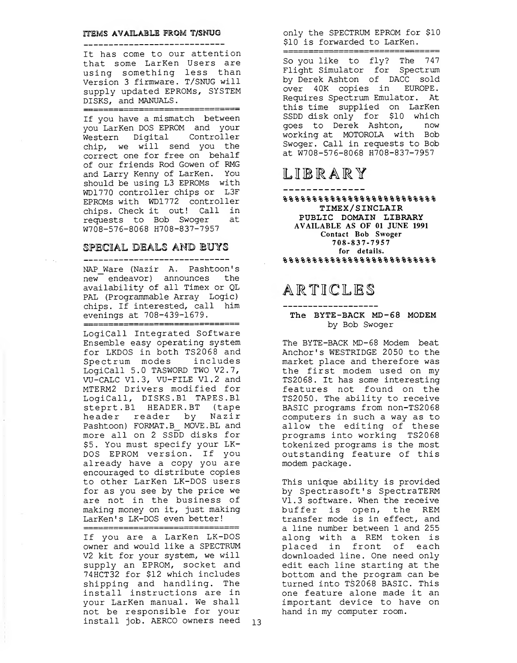#### ITEMS AVAILABLE FROM T/SNUG ----------------------------

It has come to our attention that some LarKen Users are using something less than Version <sup>3</sup> firmware. T/SNUG will supply updated EPROMs, SYSTEM DISKS, and MANUALS.

=================================

If you have a mismatch between you LarKen DOS EPROM and your Western Digital Controller chip, we will send you the correct one for free on behalf of our friends Rod Gowen of RMG and Larry Kenny of LarKen. You should be using L3 EPROMs with WD1770 controller chips or L3F EPROMs with WD1772 controller chips. Check it out! Call in requests to Bob Swoger at W708-576-8068 H708-837-7957

#### SPECIAL DEALS AND BUYS

\_\_\_\_\_\_\_\_\_\_\_\_\_\_\_\_\_\_\_\_\_\_\_\_\_\_\_\_\_\_\_\_ NAP Ware (Nazir A. Pashtoon's new endeavor) announces the availability of all Timex or QL PAL (Programmable Array Logic) chips. If interested, call him evenings at 708-439-1679.

1822222222222222822223222222

LogiCall Integrated Software Ensemble easy operating system for LKDOS in both TS2068 and Spectrum modes includes LogiCall 5.0 TASWORD TWO V2.7, VU-CALC VI. 3, VU-FILE VI . <sup>2</sup> and MTERM2 Drivers modified for LogiCall, DISKS. Bl TAPES. Bl Steprt.Bl HEADER. BT (tape header reader by Nazir Pashtoon) FORMAT.B MOVE. BL and more all on <sup>2</sup> SSDD disks for \$5. You must specify your LK-DOS EPROM version. If you already have a copy you are encouraged to distribute copies to other LarKen LK-DOS users for as you see by the price we are not in the business of making money on it, just making LarKen's LK-DOS even better!

If you are a LarKen LK-DOS owner and would like a SPECTRUM V2 kit for your system, we will supply an EPROM, socket and 74HCT32 for \$12 which includes shipping and handling. The install instructions are in your LarKen manual. We shall not be responsible for your install job. AERCO owners need 13

========================

only the SPECTRUM EPROM for \$10 \$10 is forwarded to LarKen.

<u> ========================</u>

So you like to fly? The 747 Flight Simulator for Spectrum by Derek Ashton of DACC sold over 40K copies in EUROPE. Requires Spectrum Emulator. At this time supplied on LarKen SSDD disk only for \$10 which goes to Derek Ashton, now working at MOTOROLA with Bob Swoger. Call in requests to Bob at W708-576-8068 H708-837-7957

## LIBRARY

 $888888888888888888$ TIMEX/SINCLAIR PUBLIC DOMAIN LIBRARY AVAILABLE AS OF <sup>01</sup> JUNE 1991 Contact Bob Swoger 708-837-7957 for details. %%%%%%%%%%%%%%%%%%%%%%%%%%

## ARTICLES

#### -------------------The BYTE-BACK MD-68 MODEM by Bob Swoger

The BYTE-BACK MD-68 Modem beat Anchor's WESTRIDGE 2050 to the market place and therefore was the first modem used on my TS2068. It has some interesting features not found on the TS2050. The ability to receive BASIC programs from non-TS2068 computers in such a way as to allow the editing of these programs into working TS2068 tokenized programs is the most outstanding feature of this modem package.

This unique ability is provided by Spectrasoft's SpectraTERM VI. 3 software. When the receive buffer is open, the REM transfer mode is in effect, and a line number between 1 and 255 along with a REM token is placed in front of each downloaded line. One need only edit each line starting at the bottom and the program can be turned into TS2068 BASIC. This one feature alone made it an important device to have on hand in my computer room.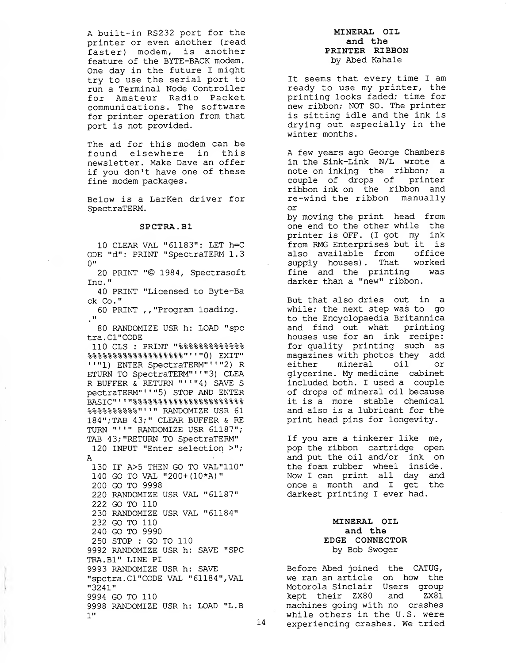A built-in RS232 port for the printer or even another (read faster) modem, is another feature of the BYTE-BACK modem. One day in the future <sup>I</sup> might try to use the serial port to run a Terminal Node Controller for Amateur Radio Packet communications. The software for printer operation from that port is not provided.

The ad for this modem can be found elsewhere in this newsletter. Make Dave an offer if you don't have one of these fine modem packages.

Below is a LarKen driver for SpectraTERM.

#### SPCTRA. Bl

10 CLEAR VAL "61183": LET h=C ODE "d" : PRINT "SpectraTERM 1.3  $0$ "

20 PRINT "© 1984, Spectrasoft Inc.

40 PRINT "Licensed to Byte-Ba ck Co."

60 PRINT ,, "Program loading.  $\cdot$ <sup>u</sup>

80 RANDOMIZE USR h: LOAD "spc tra.Cl"CODE

110 CLS : PRINT "%%%%%%%%%%%%% 9-9- 9- 9- 9- 2- 2- 2- 2- 9- 5- 2- 2- 2- 9- 2- 2- 2- 2- " <sup>I</sup> <sup>I</sup> "H\ DYTT" 'o'o'o'o'o'o'o'o'o'oo'o'o'o'o'o'o'o'o \J ) LAI <sup>1</sup> " "1) ENTER SpectraTERM" <sup>1</sup> "2) R ETURN TO SpectraTERM"' <sup>1</sup> "3) CLEA R BUFFER & RETURN "''"4) SAVE S pectraTERM" ' ' "5) STOP AND ENTER BASIC" ' ' "%%%%%%%%%%%%%%%%%%%%%% %%%%%%%%%%"'" RANDOMIZE USR 61 184";TAB 43;" CLEAR BUFFER & RE TURN "'"' RANDOMIZE USR 61187"; TAB 43; "RETURN TO SpectraTERM"

120 INPUT "Enter selection >"; A

 IF A>5 THEN GO TO VAL"110" GO TO VAL "200+ (10\*A) GO TO 9998 RANDOMIZE USR VAL "61187" GO TO 110 RANDOMIZE USR VAL "61184" GO TO 110 GO TO 9990 STOP : GO TO 110 RANDOMIZE USR h: SAVE "SPC TRA.B1" LINE PI RANDOMIZE USR h: SAVE "spctra.Cl"CODE VAL "61184", VAL "3241" GO TO 110 RANDOMIZE USR h: LOAD "L.B 1"

#### MINERAL OIL and the PRINTER RIBBON by Abed Kahale

It seems that every time <sup>I</sup> am ready to use my printer, the printing looks faded; time for new ribbon; NOT SO. The printer is sitting idle and the ink is drying out especially in the winter months.

A few years ago George Chambers in the Sink-Link N/L wrote a note on inking the ribbon; a couple of drops of printer ribbon ink on the ribbon and re-wind the ribbon manually or

by moving the print head from one end to the other while the printer is OFF. (I got my ink from RMG Enterprises but it is also available from office supply houses) . That worked fine and the printing was darker than a "new" ribbon.

But that also dries out in a while; the next step was to go to the Encyclopaedia Britannica and find out what printing houses use for an ink recipe: for quality printing such as magazines with photos they add either mineral oil or glycerine. My medicine cabinet included both. I used a couple of drops of mineral oil because it is a more stable chemical and also is a lubricant for the print head pins for longevity.

If you are a tinkerer like me, pop the ribbon cartridge open and put the oil and/or ink on the foam rubber wheel inside. Now <sup>I</sup> can print all day and once a month and I get the darkest printing I ever had.

#### MINERAL OIL and the EDGE CONNECTOR by Bob Swoger

Before Abed joined the CATUG, we ran an article on how the Motorola Sinclair Users group kept their ZX80 and ZX81 machines going with no crashes while others in the U.S. were experiencing crashes. We tried

14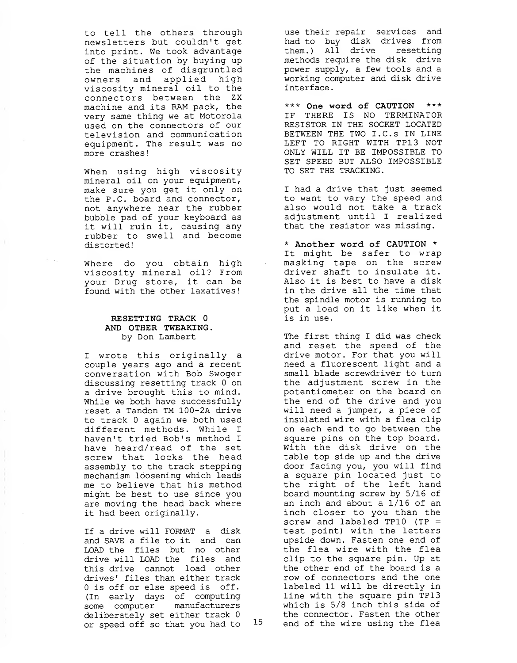to tell the others through newsletters but couldn't get into print. We took advantage of the situation by buying up the machines of disgruntled owners and applied high viscosity mineral oil to the connectors between the ZX machine and its RAM pack, the very same thing we at Motorola used on the connectors of our television and communication equipment. The result was no more crashes!

When using high viscosity mineral oil on your equipment, make sure you get it only on the P.C. board and connector, not anywhere near the rubber bubble pad of your keyboard as it will ruin it, causing any rubber to swell and become distorted!

Where do you obtain high viscosity mineral oil? From your Drug store, it can be found with the other laxatives!

#### RESETTING TRACK 0 AND OTHER TWEAKING. by Don Lambert

<sup>I</sup> wrote this originally a couple years ago and a recent conversation with Bob Swoger discussing resetting track <sup>0</sup> on a drive brought this to mind. While we both have successfully reset a Tandon TM 100-2A drive to track <sup>0</sup> again we both used different methods. While <sup>I</sup> haven't tried Bob's method <sup>I</sup> have heard/read of the set screw that locks the head assembly to the track stepping mechanism loosening which leads me to believe that his method might be best to use since you are moving the head back where it had been originally.

If a drive will FORMAT a disk and SAVE a file to it and can LOAD the files but no other drive will LOAD the files and this drive cannot load other drives' files than either track 0 is off or else speed is off. (In early days of computing some computer manufacturers deliberately set either track  $0$ <br>or speed off so that you had to  $15$ or speed off so that you had to

use their repair services and had to buy disk drives from them.) All drive resetting methods require the disk drive power supply, a few tools and a working computer and disk drive interface

\*\*\* One word of CAUTION \*\*\* IF THERE IS NO TERMINATOR RESISTOR IN THE SOCKET LOCATED BETWEEN THE TWO I.C.S IN LINE LEFT TO RIGHT WITH TP13 NOT ONLY WILL IT BE IMPOSSIBLE TO SET SPEED BUT ALSO IMPOSSIBLE TO SET THE TRACKING.

<sup>I</sup> had a drive that just seemed to want to vary the speed and also would not take a track adjustment until <sup>I</sup> realized that the resistor was missing.

\* Another word of CAUTION \* It might be safer to wrap masking tape on the screw driver shaft to insulate it. Also it is best to have a disk in the drive all the time that the spindle motor is running to put a load on it like when it is in use.

The first thing I did was check and reset the speed of the drive motor. For that you will need a fluorescent light and a small blade screwdriver to turn the adjustment screw in the potentiometer on the board on the end of the drive and you will need a jumper, a piece of insulated wire with a flea clip on each end to go between the square pins on the top board. With the disk drive on the table top side up and the drive door facing you, you will find a square pin located just to the right of the left hand board mounting screw by 5/16 of an inch and about a 1/16 of an inch closer to you than the screw and labeled TP10 (TP = test point) with the letters upside down. Fasten one end of the flea wire with the flea clip to the square pin. Up at the other end of the board is a row of connectors and the one labeled 11 will be directly in line with the square pin TP13 which is 5/8 inch this side of the connector. Fasten the other end of the wire using the flea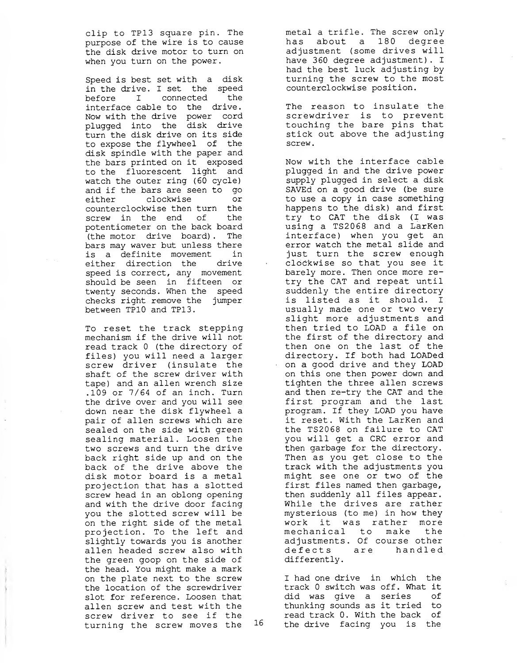clip to TP13 square pin. The purpose of the wire is to cause the disk drive motor to turn on when you turn on the power.

Speed is best set with a disk in the drive. <sup>I</sup> set the speed before I connected the interface cable to the drive. Now with the drive power cord plugged into the disk drive turn the disk drive on its side to expose the flywheel of the disk spindle with the paper and the bars printed on it exposed to the fluorescent light and watch the outer ring (60 cycle) and if the bars are seen to go either clockwise or counterclockwise then turn the screw in the end of the potentiometer on the back board (the motor drive board) . The bars may waver but unless there is a definite movement in either direction the drive speed is correct, any movement should be seen in fifteen or twenty seconds. When the speed checks right remove the jumper between TP10 and TP13.

To reset the track stepping mechanism if the drive will not read track 0 (the directory of files) you will need a larger screw driver (insulate the shaft of the screw driver with tape) and an alien wrench size .109 or 7/64 of an inch. Turn the drive over and you will see down near the disk flywheel a pair of alien screws which are sealed on the side with green sealing material. Loosen the two screws and turn the drive back right side up and on the back of the drive above the disk motor board is a metal projection that has a slotted screw head in an oblong opening and with the drive door facing you the slotted screw will be on the right side of the metal projection. To the left and slightly towards you is another alien headed screw also with the green goop on the side of the head. You might make a mark on the plate next to the screw the location of the screwdriver slot for reference. Loosen that alien screw and test with the screw driver to see if the<br>turning the screw moves the 16 turning the screw moves the

metal a trifle. The screw only has about a 180 degree adjustment (some drives will have 360 degree adjustment) . <sup>I</sup> had the best luck adjusting by turning the screw to the most counterclockwise position.

The reason to insulate the screwdriver is to prevent touching the bare pins that stick out above the adjusting screw.

Now with the interface cable plugged in and the drive power supply plugged in select a disk SAVEd on a good drive (be sure to use a copy in case something happens to the disk) and first try to CAT the disk (I was using a TS2068 and a LarKen interface) when you get an error watch the metal slide and just turn the screw enough clockwise so that you see it barely more. Then once more retry the CAT and repeat until suddenly the entire directory is listed as it should. <sup>I</sup> usually made one or two very slight more adjustments and then tried to LOAD a file on the first of the directory and then one on the last of the directory. If both had LOADed on a good drive and they LOAD on this one then power down and tighten the three alien screws and then re-try the CAT and the first program and the last program. If they LOAD you have it reset. With the LarKen and the TS2068 on failure to CAT you will get a CRC error and then garbage for the directory. Then as you get close to the track with the adjustments you might see one or two of the first files named then garbage, then suddenly all files appear. While the drives are rather mysterious (to me) in how they work it was rather more mechanical to make the adjustments. Of course other defects are handled differently.

I had one drive in which the track 0 switch was off. What it did was give a series of thunking sounds as it tried to read track 0. With the back of the drive facing you is the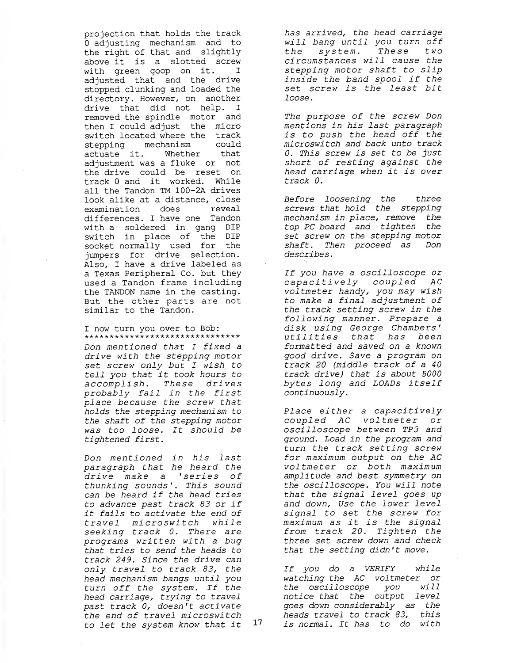projection that holds the track <sup>0</sup> adjusting mechanism and to the right of that and slightly above it is a slotted screw with green goop on it. I adjusted that and the drive stopped clunking and loaded the directory. However, on another drive that did not help. I removed the spindle motor and then <sup>I</sup> could adjust the micro switch located where the track stepping mechanism could actuate it. Whether that adjustment was a fluke or not the drive could be reset on track <sup>0</sup> and it worked. While all the Tandon TM 100-2A drives look alike at a distance, close examination does reveal differences. I have one Tandon with a soldered in gang DIP switch in place of the DIP socket normally used for the jumpers for drive selection. Also, <sup>I</sup> have a drive labeled as a Texas Peripheral Co. but they used a Tandon frame including the TANDON name in the casting. But the other parts are not similar to the Tandon.

1 now turn you over to Bob: \*\*\*\*\*\*\*\*\*\*\*\*\*\*\*\*\*\*\*\*\*\*\*\*\*\*\*\*\*\*\*

Don mentioned that I fixed a drive with the stepping motor set screw only but I wish to tell you that it took hours to accomplish. These drives probably fail in the first place because the screw that holds the stepping mechanism to the shaft of the stepping motor was too loose. It should be tightened first.

Don mentioned in his last paragraph that he heard the drive make a 'series of thunking sounds'. This sound can be heard if the head tries to advance past track 83 or if it fails to activate the end of travel microswitch while seeking track 0. There are programs written with a bug that tries to send the heads to track 249. Since the drive can only travel to track 83, the head mechanism bangs until you turn off the system. If the head carriage, trying to travel past track 0, doesn't activate the end of travel microswitch<br>to let the system know that it 17 to let the system know that it

has arrived, the head carriage will bang until you turn off the system. These two circumstances will cause the stepping motor shaft to slip inside the band spool if the set screw is the least bit loose.

The purpose of the screw Don mentions in his last paragraph is to push the head off the microswitch and back unto track 0. This screw is set to be just short of resting against the head carriage when it is over track 0.

Before loosening the three screws that hold the stepping mechanism in place, remove the top PC board and tighten the set screw on the stepping motor shaft. Then proceed as Don describes

If you have a oscilloscope or capacitively coupled AC voltmeter handy, you may wish to make a final adjustment of the track setting screw in the following manner. Prepare a disk using George Chambers' utilities that has been formatted and saved on a known good drive. Save a program on track 20 (middle track of a 40 track drive) that is about 5000 bytes long and LOADs itself continuously.

Place either a capacitively coupled AC voltmeter or oscilloscope between TP3 and ground. Load in the program and turn the track setting screw for maximum output on the AC voltmeter or both maximum amplitude and best symmetry on the oscilloscope. You will note that the signal level goes up and down, Use the lower level signal to set the screw for maximum as it is the signal from track 20. Tighten the three set screw down and check that the setting didn't move.

If you do a VERIFY while watching the AC voltmeter or the oscilloscope you will notice that the- output level goes down considerably as the heads travel to track 83, this is normal. It has to do with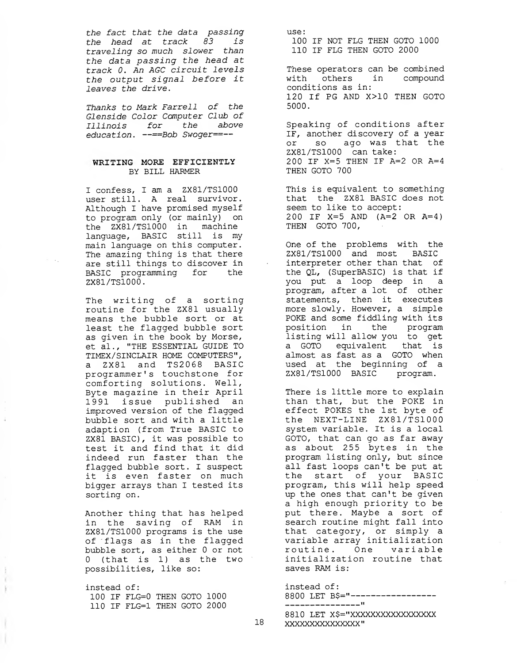the fact that the data passing the head at track 83 is traveling so much slower than the data passing the head at track 0. An AGC circuit levels the output signal before it leaves the drive.

Thanks to Mark Farrell of the Glenside Color Computer Club of Illinois for the above education. —==Bob Swoger==—

#### WRITING MORE EFFICIENTLY BY BILL HARMER

<sup>I</sup> confess, <sup>I</sup> am a ZX81/TS1000 user still. A real survivor. Although <sup>I</sup> have promised myself to program only (or mainly) on the ZX81/TS1000 in machine language, BASIC still is my main language on this computer. The amazing thing is that there are still things to discover in BASIC programming for the ZX81/TS1000.

The writing of a sorting routine for the ZX81 usually means the bubble sort or at least the flagged bubble sort as given in the book by Morse, et al., "THE ESSENTIAL GUIDE TO TIMEX/SINCLAIR HOME COMPUTERS", a ZX81 and TS2068 BASIC programmer's touchstone for comforting solutions. Well, Byte magazine in their April 1991 issue published an improved version of the flagged bubble sort and with a little adaption (from True BASIC to ZX81 BASIC) , it was possible to test it and find that it did indeed run faster than the flagged bubble sort. <sup>I</sup> suspect it is even faster on much bigger arrays than I tested its sorting on.

Another thing that has helped in the saving of RAM in ZX81/TS1000 programs is the use of flags as in the flagged bubble sort, as either 0 or not <sup>0</sup> (that is 1) as the two possibilities, like so:

instead of 100 IF FLG=0 THEN GOTO 1000 110 IF FLG=1 THEN GOTO 2000

use: 100 IF NOT FLG THEN GOTO 1000 110 IF FLG THEN GOTO 2000

These operators can be combined with others in compound conditions as in: 120 If PG AND X>10 THEN GOTO 5000.

Speaking of conditions after IF, another discovery of a year or so ago was that the ZX81/TS1000 can take: 200 IF X=5 THEN IF A=2 OR A=4 THEN GOTO 700

This is equivalent to something that the ZX81 BASIC does not seem to like to accept: 200 IF X=5 AND (A=2 OR A=4) THEN GOTO 700,

One of the problems with the ZX81/TS1000 and most BASIC interpreter other than that of the QL, (SuperBASIC) is that if you put a loop deep in a program, after a lot of other statements, then it executes more slowly. However, a simple POKE and some fiddling with its position in the program listing will allow you to get a GOTO equivalent that is almost as fast as a GOTO when used at the beginning of a ZX81/TS1000 BASIC program.

There is little more to explain than that, but the POKE in effect POKES the 1st byte of the NEXT-LINE ZX81/TS1000 system variable. It is a local GOTO, that can go as far away as about 255 bytes in the program listing only, but since all fast loops can't be put at the start of your BASIC program, this will help speed up the ones that can't be given a high enough priority to be put there. Maybe a sort of search routine might fall into that category, or simply a variable array initialization routine. One variable initialization routine that saves RAM is:

instead of 8800 LET B\$="-----------------

---------------<sup>11</sup>

8810 LET X\$="XXXXXXXXXXXXXXXXX XXXXXXXXXXXXXXX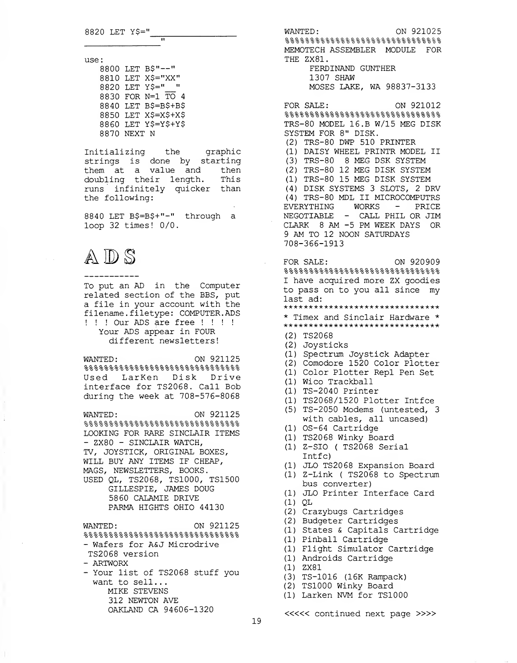use:

|             | 8800 LET B\$"--"     |
|-------------|----------------------|
|             | 8810 LET X\$="XX"    |
|             | 8820 LET Y\$="       |
|             | 8830 FOR N=1 TO 4    |
|             | 8840 LET B\$=B\$+B\$ |
|             | 8850 LET X\$=X\$+X\$ |
|             | 8860 LET Y\$=Y\$+Y\$ |
| 8870 NEXT N |                      |
|             |                      |

Initializing the graphic strings is done by starting them at a value and then doubling their length. This runs infinitely quicker than the following:

Ĥ

8840 LET B\$=B\$+"-" through a loop 32 times! 0/0.

# $\mathbb A\mathbb D$  S

To put an AD in the Computer related section of the BBS, put a file in your account with the filename. filetype: COMPUTER. ADS ! ! ! Our ADS are free ! ! ! ! Your ADS appear in FOUR different newsletters!

WANTED ON 921125 %0-9.e.2-e-0-0-2-9-2-S-9-2-2-9-9-S-2-2-9-9-2-0-9-9-9-2-9-9-9- ^^^'o'o'o'o'o'o'o'o'o'o'o'o'o'o'o'o'o'o'o'o'o'o'o'o'o'o'o Used LarKen Disk Drive interface for TS2068. Call Bob during the week at 708-576-8068

WANTED ON 921125  $888888888888888888888888888888888$ LOOKING FOR RARE SINCLAIR ITEMS - ZX80 - SINCLAIR WATCH, TV, JOYSTICK, ORIGINAL BOXES, WILL BUY ANY ITEMS IF CHEAP, MAGS, NEWSLETTERS, BOOKS. USED QL, TS2068, TS1000, TS1500 GILLESPIE, JAMES DOUG 5860 CALAMIE DRIVE PARMA HIGHTS OHIO 44130

WANTED ON 921125 ° 2-9-2-9-2-9-9-9-2-9-9-2-9-2-9-2-2-9-2-2-2-2-9-2-2-2-2-2-2-2- 'o'o'o'o'o'o'o'o'o'o'oo'ooo'oooooooooooooooo - Wafers for A&J Microdrive TS2068 version - ARTWORX - Your list of TS2068 stuff you want to sell... MIKE STEVENS 312 NEWTON AVE OAKLAND CA 94606-1320

WANTED: ON 921025  $8888888888888888888888888$ MEMOTECH ASSEMBLER MODULE FOR THE ZX81. FERDINAND GUNTHER 1307 SHAW MOSES LAKE, WA 98837-3133 FOR SALE: ON 921012 0.0-0-0-0-0-9-9-2-9-9-9-9-9-9-9-9-9-9-0.0.0.0.9-9-2-2-2-9-9.9- TRS-80 MODEL 16.B W/15 MEG DISK SYSTEM FOR 8" DISK. (2) TRS-80 DWP 510 PRINTER (1) DAISY WHEEL PRINTR MODEL II (3) TRS-80 8 MEG DSK SYSTEM (2) TRS-80 12 MEG DISK SYSTEM (1) TRS-80 15 MEG DISK SYSTEM (4) DISK SYSTEMS 3 SLOTS, 2 DRV (4) TRS-80 MDL II MICROCOMPUTRS EVERYTHING WORKS - PRICE NEGOTIABLE - CALL PHIL OR JIM CLARK 8 AM -5 PM WEEK DAYS OR <sup>9</sup> AM TO 12 NOON SATURDAYS 708-366-1913 FOR SALE: ON 920909  $88888888888888888888888888888888888$ I have acquired more ZX goodies to pass on to you all since my last ad: \*\*\*\*\*\*\*\*\*\*\*\*\*\*\*\*\*\*\*\*\*\*\*\*\*\*\*\*\*\*\* \* Timex and Sinclair Hardware \* \*\*\*\*\*\*\*\*\*\*\*\*\*\*\*\*\*\*\*\*\*\*\*\*\*\*\*\*\*\*\* (2 TS2068 (2 Joysticks (1 Spectrum Joystick Adapter (2 Comodore 1520 Color Plotter (1 Color Plotter Repl Pen Set (1 Wico Trackball (1 TS-2040 Printer (1 TS2068/1520 Plotter Intfce (5 TS-2050 Modems (untested, 3 (1 OS-64 Cartridge (1 TS2068 Winky Board (1 Z-SIO ( TS2068 Serial (1 JLO TS2068 Expansion Board (1 Z-Link ( TS2068 to Spectrum (1 JLO Printer Interface Card (1 QL (2 Crazybugs Cartridges (2 Budgeter Cartridges (1 States & Capitals Cartridge (1 Pinball Cartridge (1 Flight Simulator Cartridge (1 Androids Cartridge (1 ZX81 (3 TS-1016 (16K Rampack) (2 TS1000 Winky Board (1 Larken NVM for TS1000 with cables, all uncased) Intfc) bus converter) ««< continued next page »»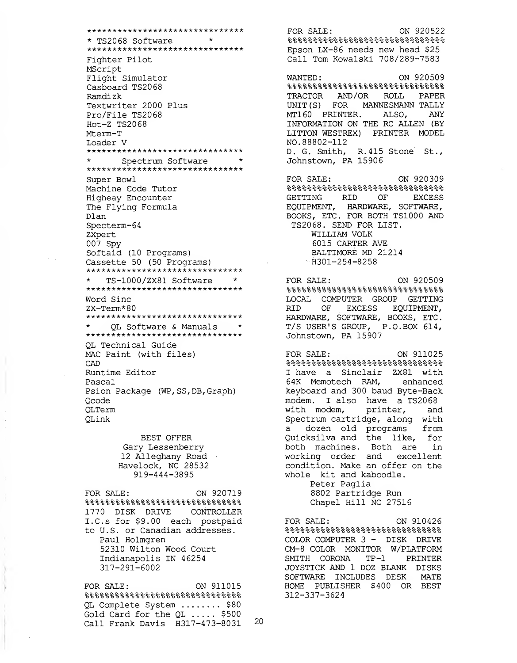\*\*\*\*\*\*\*\*\*\*\*\*\*\*\*\*\*\*\*\*\*\*\*\*\*\*\*\*\*\*\* \* •a-\*\*\* TS2068 Software \* \*\*\*\*\*\*\*\*\*\*\*\*\*\*\*\*\*\*\*\*\*\*\*\*\*\*\*\*\*\*\* Fighter Pilot MScript Flight Simulator Casboard TS2068 Ramdizk Textwriter 2000 Plus Pro/File TS2068 Hot-Z TS2068 Mterm-T Loader V \*\*\*\*\*\*\*\*\*\*\*\*\*\*\*\*\*\*\*\*\*\*\*\*\*\*\*\*\*\*\* \* Spectrum Software \*<br>\*\*\*\*\*\*\*\*\*\*\*\*\*\*\*\*\*\*\*\*\*\*\*\*\*\*\*\*\*\*\*\*\* Super Bowl Machine Code Tutor Higheay Encounter The Flying Formula Dlan Specterm-64 ZXpert 007 Spy Softaid (10 Programs) Cassette 50 (50 Programs) \*\*\*\*\*\*\*\*\*\*\*\*\*\*\*\*\*\*\*\*\*\*\*\*\*\*\*\*\*\*\*\*\* \* TS-1000/ZX81 Software \*<br>\*\*\*\*\*\*\*\*\*\*\*\*\*\*\*\*\*\*\*\*\*\*\*\*\*\*\*\*\*\*\* Word Sine ZX-Term\*80 \*\*\*\*\*\*\*\*\*\*\*\*\*\*\*\*\*\*\*\*\*\*\*\*\*\*\*\*\*\*\* \* QL Software & Manuals \*<br>\*\*\*\*\*\*\*\*\*\*\*\*\*\*\*\*\*\*\*\*\*\*\*\*\*\*\*\*\*\*\*\* QL Technical Guide MAC Paint (with files) CAD Runtime Editor Pascal Psion Package (WP, SS, DB, Graph) Qcode QLTerm QLink BEST OFFER Gary Lessenberry 12 Alleghany Road Havelock, NC 28532 919-444-3895 FOR SALE: ON 920719 %%%%%%%%%%%%%%%%%%%%%%%%%%%%%%% 1770 DISK DRIVE CONTROLLER I.C.s for \$9.00 each postpaid

to U.S. or Canadian addresses. Paul Holmgren 52310 Wilton Wood Court Indianapolis IN 46254 317-291-6002

FOR SALE: ON 911015 %%%%%%%%%%%%%%%%%%%%%%%%%%%%%%%%%% QL Complete System ....... \$80 Gold Card for the  $QL$  ..... \$500 Call Frank Davis H317-473-8031

FOR SALE: 0N 920522 %%%%%%%%%%%%%%%%%%%%%%%%%%%%%%%%%%%% Epson LX-86 needs new head \$25 Call Tom Kowalski 708/289-7583 WANTED: ON 920509 %%%%%%%%%%%%%%%%%%%%%%%%%%%%%%% TRACTOR AND/OR ROLL PAPER UNIT(S) FOR MANNESMANN TALLY MT160 PRINTER. ALSO, ANY INFORMATION ON THE RC ALLEN (BY LITTON WESTREX) PRINTER MODEL NO. 88802-112 D. G. Smith, R.415 Stone St., Johnstown, PA 15906 FOR SALE: ON 920309 %%%%%%%%%%%%%%%%%%%%%%%%%%%%%%% GETTING RID OF EXCESS EQUIPMENT, HARDWARE, SOFTWARE, BOOKS, ETC. FOR BOTH TS1000 AND TS2068. SEND FOR LIST. WILLIAM VOLK 6015 CARTER AVE BALTIMORE MD 21214  $\text{H}301-254-8258$ FOR SALE: ON 920509  $888888888888888888888888$ LOCAL COMPUTER GROUP GETTING RID OF EXCESS EQUIPMENT, HARDWARE, SOFTWARE, BOOKS, ETC. T/S USER'S GROUP, P.O.BOX 614, Johnstown, PA 15907 FOR SALE: ON 911025 %%%%%%%%%%%%%%%%%%%%%%%%%%%%%%%%%%%%% I have a Sinclair ZX81 with 64K Memotech RAM, enhanced keyboard and 300 baud Byte-Back modem. I also have a TS2068 with modem, printer, and Spectrum cartridge, along with a dozen old programs from Quicksilva and the like, for both machines. Both are in working order and excellent condition. Make an offer on the whole kit and kaboodle. Peter Paglia 8802 Partridge Run Chapel Hill NC 27516 FOR SALE: ON 910426 %%%%%%%%%%%%%%%%%%%%%%%%%%%%%%% COLOR COMPUTER 3 - DISK DRIVE CM-8 COLOR MONITOR W/PLATFORM SMITH CORONA TP-1 PRINTER JOYSTICK AND 1 DOZ BLANK DISKS SOFTWARE INCLUDES DESK MATE HOME PUBLISHER \$400 OR BEST 312-337-3624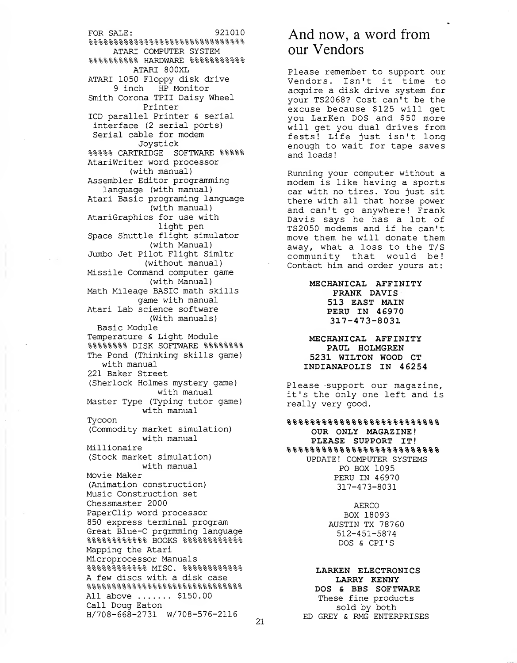FOR SALE: 921010  $88888888888888888888888$ ATARI COMPUTER SYSTEM %%%%%%%%%% HARDWARE %%%%%%%%%%% ATARI 800XL ATARI 1050 Floppy disk drive 9 inch HP Monitor Smith Corona TPII Daisy Wheel Printer ICD parallel Printer & serial interface (2 serial ports) Serial cable for modem Joystick %%%%% CARTRIDGE SOFTWARE %%%%% AtariWriter word processor (with manual) Assembler Editor programming language (with manual) Atari Basic programing language (with manual) AtariGraphics for use with light pen Space Shuttle flight simulator (with Manual) Jumbo Jet Pilot Flight Simltr (without manual) Missile Command computer game (with Manual) Math Mileage BASIC math skills game with manual Atari Lab science software (With manuals) Basic Module Temperature & Light Module %%%%%%%% DISK SOFTWARE %%%%%%%% The Pond (Thinking skills game) with manual 221 Baker Street (Sherlock Holmes mystery game) with manual Master Type (Typing tutor game) with manual Tycoon (Commodity market simulation) with manual Millionaire (Stock market simulation) with manual Movie Maker (Animation construction) Music Construction set Chessmaster 2000 Paperclip word processor 850 express terminal program Great Blue-C prgrmming language  $88888888888$  BOOKS  $888888888888$ Mapping the Atari Microprocessor Manuals 2- 2- 2- 2- 2- 2- 2- 2- 2- 2- 2- 2- TWITC/~" 2-2-2-2-2-9-9-2-2-2-2-2- 'o'o'o'o'o'o'o'o'o'o'o'o <sup>l</sup> <sup>v</sup>ix OL , oooooooooooo A few discs with a disk case Q.O 2-2-2.2-2-2-2-2-2-2-2-2-2-2-2-2-2-2-2-2-9-2-2-2-2-2-2-2-2- 'o'o'5'o'o'o'o'o'o'o'oo'o'oooooooooooooooooo All above ....... \$150.00 Call Doug Eaton H/708-668-2731 W/708-576-2116

## And now, <sup>a</sup> word from our Vendors

Please remember to support our Vendors. Isn't it time to acquire a disk drive system for your TS2068? Cost can't be the excuse because \$125 will get you LarKen DOS and \$50 more will get you dual drives from fests! Life just isn't long enough to wait for tape saves and loads!

Running your computer without a modem is like having a sports car with no tires. You just sit there with all that horse power and can't go anywhere! Frank Davis says he has a lot of TS2050 modems and if he can't move them he will donate them away, what a loss to the T/S community that would be! Contact him and order yours at:

> MECHANICAL AFFINITY FRANK DAVIS 513 EAST MAIN PERU IN 46970 317-473-8031

MECHANICAL AFFINITY PAUL HOLMGREN 5231 WILTON WOOD CT INDIANAPOLIS IN <sup>4</sup> 6254

Please support our magazine, it's the only one left and is really very good.

 $8888888888888888888$ OUR ONLY MAGAZINE! PLEASE SUPPORT IT %%%%%%%%%%%%%%%%%%%%%%%%%% UPDATE! COMPUTER SYSTEMS PO BOX 1095 PERU IN 46970 317-473-8031

> AERCO BOX 18093 AUSTIN TX 78760 512-451-5874 DOS & CPI'S

#### LARKEN ELECTRONICS LARRY KENNY DOS & BBS SOFTWARE These fine products sold by both ED GREY & RMG ENTERPRISES

21